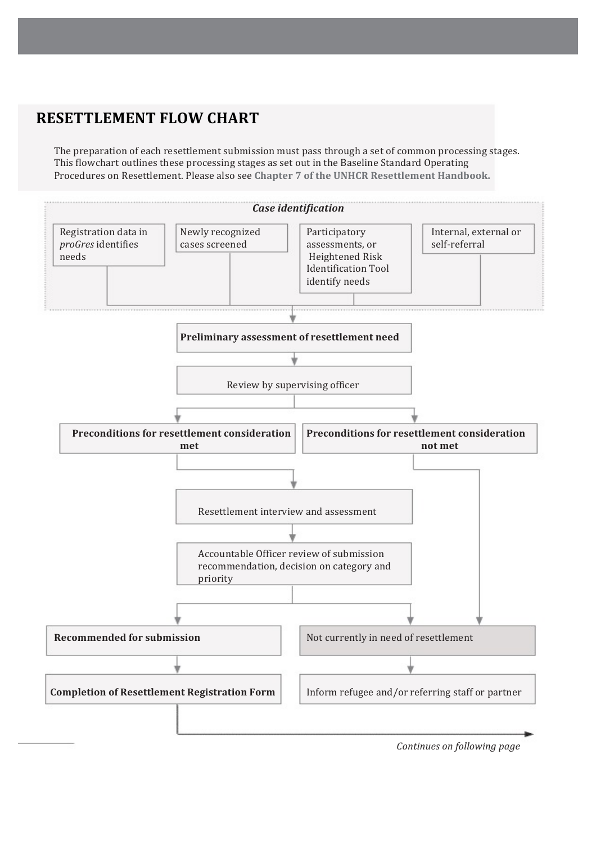## **RESETTLEMENT FLOW CHART**

The preparation of each resettlement submission must pass through a set of common processing stages. This flowchart outlines these processing stages as set out in the Baseline Standard Operating Procedures on Resettlement. Please also see Chapter 7 of the UNHCR Resettlement Handbook.



*Continues on following page*